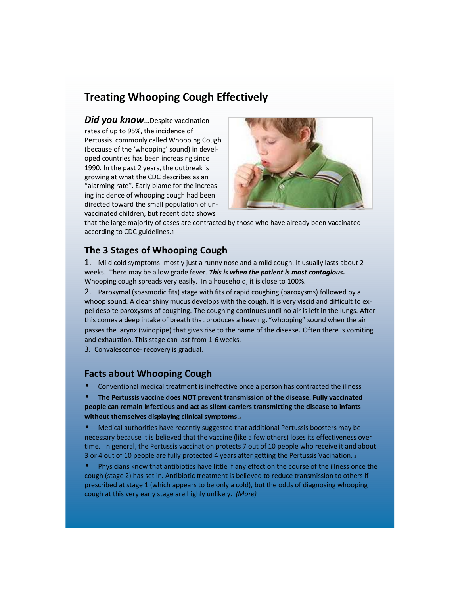# Treating Whooping Cough Effectively

Did you know...Despite vaccination rates of up to 95%, the incidence of Pertussis commonly called Whooping Cough (because of the 'whooping' sound) in developed countries has been increasing since 1990. In the past 2 years, the outbreak is growing at what the CDC describes as an "alarming rate". Early blame for the increasing incidence of whooping cough had been directed toward the small population of unvaccinated children, but recent data shows



that the large majority of cases are contracted by those who have already been vaccinated according to CDC guidelines.1

## The 3 Stages of Whooping Cough

1. Mild cold symptoms- mostly just a runny nose and a mild cough. It usually lasts about 2 weeks. There may be a low grade fever. This is when the patient is most contagious. Whooping cough spreads very easily. In a household, it is close to 100%.

2. Paroxymal (spasmodic fits) stage with fits of rapid coughing (paroxysms) followed by a whoop sound. A clear shiny mucus develops with the cough. It is very viscid and difficult to expel despite paroxysms of coughing. The coughing continues until no air is left in the lungs. After this comes a deep intake of breath that produces a heaving, "whooping" sound when the air passes the larynx (windpipe) that gives rise to the name of the disease. Often there is vomiting and exhaustion. This stage can last from 1-6 weeks.

3. Convalescence- recovery is gradual.

### Facts about Whooping Cough

• Conventional medical treatment is ineffective once a person has contracted the illness

• The Pertussis vaccine does NOT prevent transmission of the disease. Fully vaccinated people can remain infectious and act as silent carriers transmitting the disease to infants without themselves displaying clinical symptoms.<sup>2</sup>

• Medical authorities have recently suggested that additional Pertussis boosters may be necessary because it is believed that the vaccine (like a few others) loses its effectiveness over time. In general, the Pertussis vaccination protects 7 out of 10 people who receive it and about 3 or 4 out of 10 people are fully protected 4 years after getting the Pertussis Vacination. 3

• Physicians know that antibiotics have little if any effect on the course of the illness once the cough (stage 2) has set in. Antibiotic treatment is believed to reduce transmission to others if prescribed at stage 1 (which appears to be only a cold), but the odds of diagnosing whooping cough at this very early stage are highly unlikely. (More)